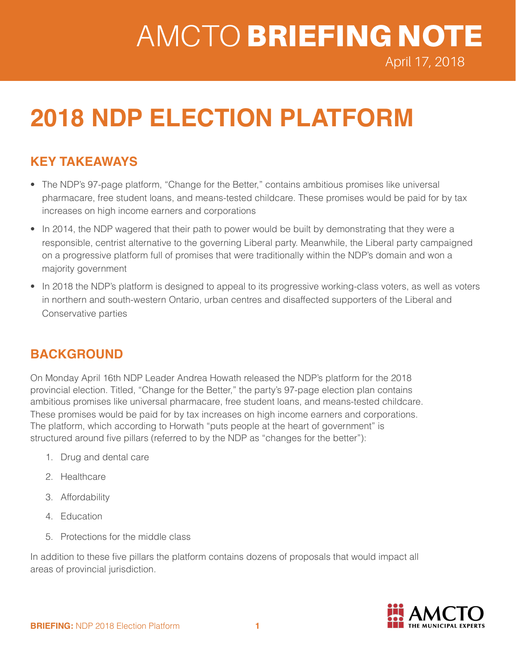# AMCTO BRIEFING NOTE

April 17, 2018

## **2018 NDP ELECTION PLATFORM**

## **KEY TAKEAWAYS**

- The NDP's 97-page platform, "Change for the Better," contains ambitious promises like universal pharmacare, free student loans, and means-tested childcare. These promises would be paid for by tax increases on high income earners and corporations
- In 2014, the NDP wagered that their path to power would be built by demonstrating that they were a responsible, centrist alternative to the governing Liberal party. Meanwhile, the Liberal party campaigned on a progressive platform full of promises that were traditionally within the NDP's domain and won a majority government
- In 2018 the NDP's platform is designed to appeal to its progressive working-class voters, as well as voters in northern and south-western Ontario, urban centres and disaffected supporters of the Liberal and Conservative parties

### **BACKGROUND**

On Monday April 16th NDP Leader Andrea Howath released the NDP's platform for the 2018 provincial election. Titled, "Change for the Better," the party's 97-page election plan contains ambitious promises like universal pharmacare, free student loans, and means-tested childcare. These promises would be paid for by tax increases on high income earners and corporations. The platform, which according to Horwath "puts people at the heart of government" is structured around five pillars (referred to by the NDP as "changes for the better"):

- 1. Drug and dental care
- 2. Healthcare
- 3. Affordability
- 4. Education
- 5. Protections for the middle class

In addition to these five pillars the platform contains dozens of proposals that would impact all areas of provincial jurisdiction.

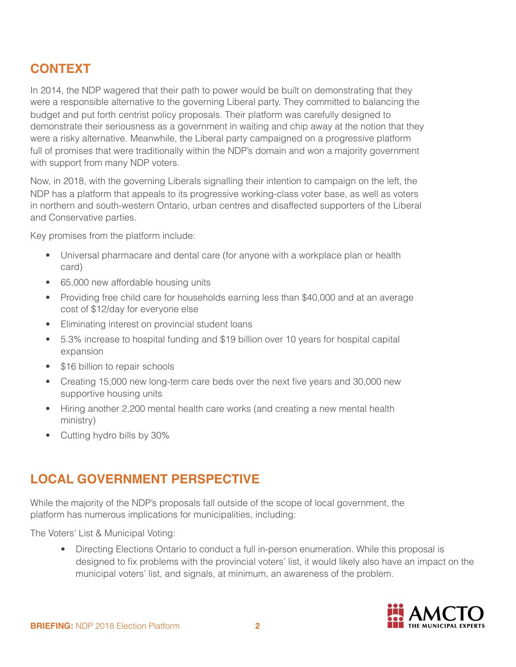## **CONTEXT**

In 2014, the NDP wagered that their path to power would be built on demonstrating that they were a responsible alternative to the governing Liberal party. They committed to balancing the budget and put forth centrist policy proposals. Their platform was carefully designed to demonstrate their seriousness as a government in waiting and chip away at the notion that they were a risky alternative. Meanwhile, the Liberal party campaigned on a progressive platform full of promises that were traditionally within the NDP's domain and won a majority government with support from many NDP voters.

Now, in 2018, with the governing Liberals signalling their intention to campaign on the left, the NDP has a platform that appeals to its progressive working-class voter base, as well as voters in northern and south-western Ontario, urban centres and disaffected supporters of the Liberal and Conservative parties.

Key promises from the platform include:

- Universal pharmacare and dental care (for anyone with a workplace plan or health card)
- 65,000 new affordable housing units
- Providing free child care for households earning less than \$40,000 and at an average cost of \$12/day for everyone else
- Eliminating interest on provincial student loans
- 5.3% increase to hospital funding and \$19 billion over 10 years for hospital capital expansion
- \$16 billion to repair schools
- Creating 15,000 new long-term care beds over the next five years and 30,000 new supportive housing units
- Hiring another 2,200 mental health care works (and creating a new mental health ministry)
- Cutting hydro bills by 30%

## **LOCAL GOVERNMENT PERSPECTIVE**

While the majority of the NDP's proposals fall outside of the scope of local government, the platform has numerous implications for municipalities, including:

The Voters' List & Municipal Voting:

• Directing Elections Ontario to conduct a full in-person enumeration. While this proposal is designed to fix problems with the provincial voters' list, it would likely also have an impact on the municipal voters' list, and signals, at minimum, an awareness of the problem.

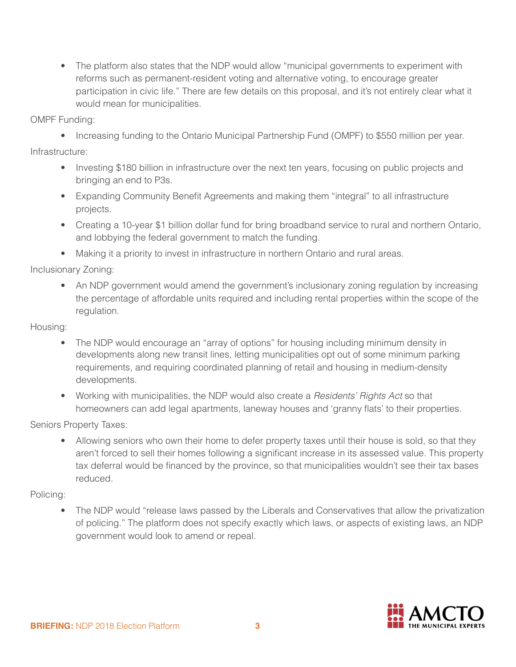• The platform also states that the NDP would allow "municipal governments to experiment with reforms such as permanent-resident voting and alternative voting, to encourage greater participation in civic life." There are few details on this proposal, and it's not entirely clear what it would mean for municipalities.

OMPF Funding:

• Increasing funding to the Ontario Municipal Partnership Fund (OMPF) to \$550 million per year.

Infrastructure:

- Investing \$180 billion in infrastructure over the next ten years, focusing on public projects and bringing an end to P3s.
- Expanding Community Benefit Agreements and making them "integral" to all infrastructure projects.
- Creating a 10-year \$1 billion dollar fund for bring broadband service to rural and northern Ontario, and lobbying the federal government to match the funding.
- Making it a priority to invest in infrastructure in northern Ontario and rural areas.

Inclusionary Zoning:

• An NDP government would amend the government's inclusionary zoning regulation by increasing the percentage of affordable units required and including rental properties within the scope of the regulation.

Housing:

- The NDP would encourage an "array of options" for housing including minimum density in developments along new transit lines, letting municipalities opt out of some minimum parking requirements, and requiring coordinated planning of retail and housing in medium-density developments.
- Working with municipalities, the NDP would also create a *Residents' Rights Act* so that homeowners can add legal apartments, laneway houses and 'granny flats' to their properties.

Seniors Property Taxes:

• Allowing seniors who own their home to defer property taxes until their house is sold, so that they aren't forced to sell their homes following a significant increase in its assessed value. This property tax deferral would be financed by the province, so that municipalities wouldn't see their tax bases reduced.

Policing:

• The NDP would "release laws passed by the Liberals and Conservatives that allow the privatization of policing." The platform does not specify exactly which laws, or aspects of existing laws, an NDP government would look to amend or repeal.

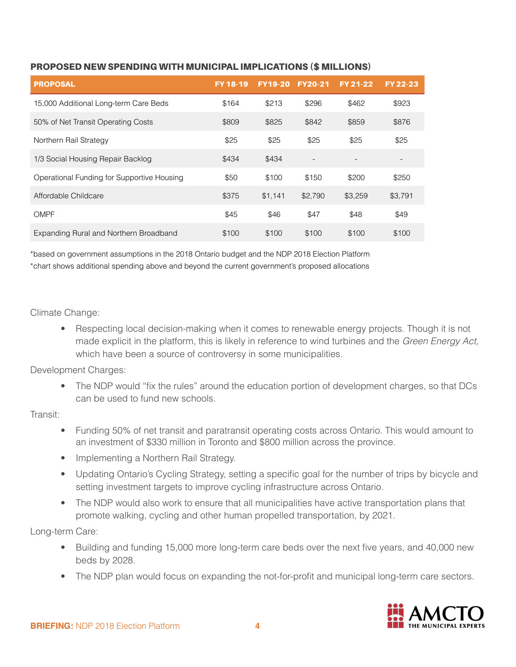| I PROPOSAL                            |       |       |       | FY 18-19 FY 19-20 FY 20-21 FY 21-22 FY 22-23 |       |
|---------------------------------------|-------|-------|-------|----------------------------------------------|-------|
| 15,000 Additional Long-term Care Beds | \$164 | \$213 | \$296 | \$462                                        | \$923 |
| 50% of Net Transit Operating Costs    | \$809 | \$825 | \$842 | \$859                                        | \$876 |

Northern Rail Strategy **625** \$25 \$25 \$25 \$25 \$25 \$25 \$25

Operational Funding for Supportive Housing  $$50$  \$100 \$150 \$200 \$250

Affordable Childcare  $$375$  \$1,141 \$2,790 \$3,259 \$3,791

OMPF \$45 \$46 \$47 \$48 \$49

Expanding Rural and Northern Broadband  $$100$  \$100 \$100 \$100 \$100

#### PROPOSED NEW SPENDING WITH MUNICIPAL IMPLICATIONS (\$ MILLIONS)

1/3 Social Housing Repair Backlog **\$434** \$434 \$434

\*based on government assumptions in the 2018 Ontario budget and the NDP 2018 Election Platform \*chart shows additional spending above and beyond the current government's proposed allocations

#### Climate Change:

Respecting local decision-making when it comes to renewable energy projects. Though it is not made explicit in the platform, this is likely in reference to wind turbines and the *Green Energy Act,*  which have been a source of controversy in some municipalities.

#### Development Charges:

• The NDP would "fix the rules" around the education portion of development charges, so that DCs can be used to fund new schools.

#### Transit:

- Funding 50% of net transit and paratransit operating costs across Ontario. This would amount to an investment of \$330 million in Toronto and \$800 million across the province.
- Implementing a Northern Rail Strategy.
- Updating Ontario's Cycling Strategy, setting a specific goal for the number of trips by bicycle and setting investment targets to improve cycling infrastructure across Ontario.
- The NDP would also work to ensure that all municipalities have active transportation plans that promote walking, cycling and other human propelled transportation, by 2021.

#### Long-term Care:

- Building and funding 15,000 more long-term care beds over the next five years, and 40,000 new beds by 2028.
- The NDP plan would focus on expanding the not-for-profit and municipal long-term care sectors.